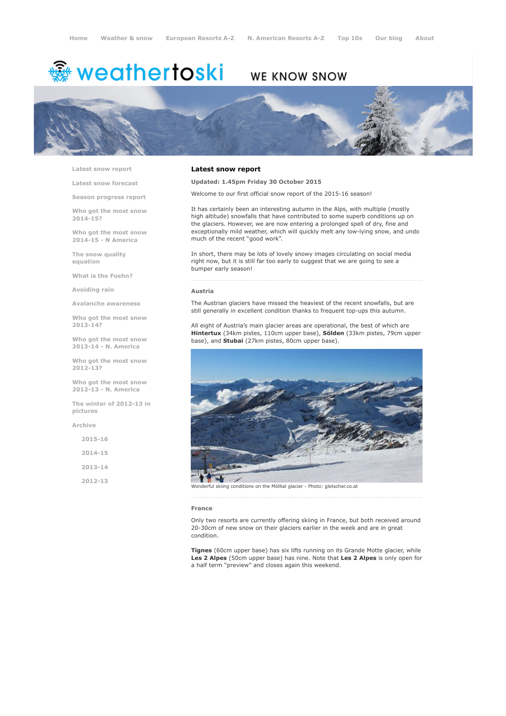# <del>鑾</del> weathertoski

# WE KNOW SNOW



Latest snow [report](http://www.weathertoski.co.uk/weather-snow/latest-snow-report/)

Latest snow [forecast](http://www.weathertoski.co.uk/weather-snow/latest-snow-forecast/)

Season [progress](http://www.weathertoski.co.uk/weather-snow/season-progress-report/) report

Who got the most snow 2014-15?

Who got the most snow 2014-15 - N America

The snow quality [equation](http://www.weathertoski.co.uk/weather-snow/the-snow-quality-equation/)

What is the [Foehn?](http://www.weathertoski.co.uk/weather-snow/what-is-the-foehn/)

[Avoiding](http://www.weathertoski.co.uk/weather-snow/avoiding-rain/) rain

Avalanche [awareness](http://www.weathertoski.co.uk/weather-snow/avalanche-awareness/)

Who got the most snow 2013-14?

Who got the most snow 2013-14 - N. America

Who got the most snow 2012-13?

Who got the most snow 2012-13 - N. America

The winter of 2012-13 in pictures

[Archive](http://www.weathertoski.co.uk/weather-snow/archive/)

| $2015 - 16$ |
|-------------|
| 2014-15     |
| $2013 - 14$ |
| $2012 - 13$ |

# Latest snow report

Updated: 1.45pm Friday 30 October 2015

Welcome to our first official snow report of the 2015-16 season!

It has certainly been an interesting autumn in the Alps, with multiple (mostly high altitude) snowfalls that have contributed to some superb conditions up on the glaciers. However, we are now entering a prolonged spell of dry, fine and exceptionally mild weather, which will quickly melt any low-lying snow, and undo much of the recent "good work".

In short, there may be lots of lovely snowy images circulating on social media right now, but it is still far too early to suggest that we are going to see a bumper early season!

## Austria

The Austrian glaciers have missed the heaviest of the recent snowfalls, but are still generally in excellent condition thanks to frequent top-ups this autumn.

All eight of Austria's main glacier areas are operational, the best of which are Hintertux (34km pistes, 110cm upper base), Sölden (33km pistes, 79cm upper base), and Stubai (27km pistes, 80cm upper base).



derful skiing conditions on the Mölltal glacier - Photo: gletscher.co.at

#### France

Only two resorts are currently offering skiing in France, but both received around 20-30cm of new snow on their glaciers earlier in the week and are in great condition.

Tignes (60cm upper base) has six lifts running on its Grande Motte glacier, while Les 2 Alpes (50cm upper base) has nine. Note that Les 2 Alpes is only open for a half term "preview" and closes again this weekend.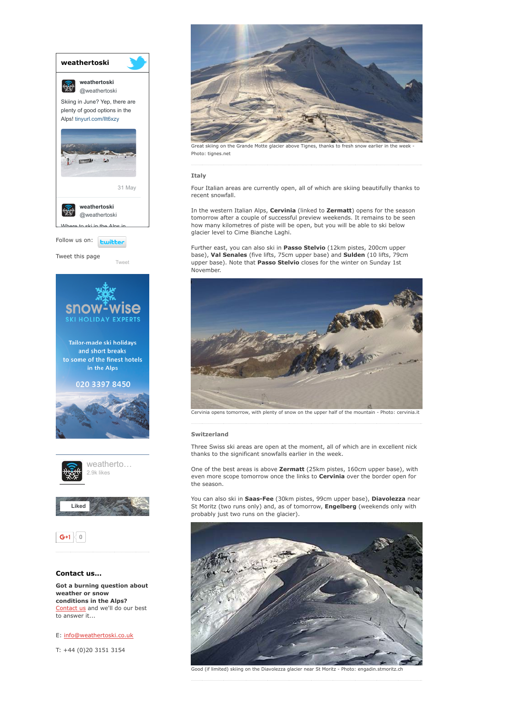

to answer it...

E: [info@weathertoski.co.uk](mailto:fraser@weathertoski.co.uk)

T: +44 (0)20 3151 3154



Great skiing on the Grande Motte glacier above Tignes, thanks to fresh snow earlier in the Photo: tignes.net

### Italy

Four Italian areas are currently open, all of which are skiing beautifully thanks to recent snowfall.

In the western Italian Alps, Cervinia (linked to Zermatt) opens for the season tomorrow after a couple of successful preview weekends. It remains to be seen how many kilometres of piste will be open, but you will be able to ski below glacier level to Cime Bianche Laghi.

Further east, you can also ski in Passo Stelvio (12km pistes, 200cm upper base), Val Senales (five lifts, 75cm upper base) and Sulden (10 lifts, 79cm upper base). Note that Passo Stelvio closes for the winter on Sunday 1st November.



Cervinia opens tomorrow, with plenty of snow on the upper half of the mountain - Photo: cervinia.it

### Switzerland

Three Swiss ski areas are open at the moment, all of which are in excellent nick thanks to the significant snowfalls earlier in the week.

One of the best areas is above Zermatt (25km pistes, 160cm upper base), with even more scope tomorrow once the links to **Cervinia** over the border open for the season.

You can also ski in Saas-Fee (30km pistes, 99cm upper base), Diavolezza near St Moritz (two runs only) and, as of tomorrow, **Engelberg** (weekends only with probably just two runs on the glacier).



Good (if limited) skiing on the Diavolezza glacier near St Moritz Photo: engadin.stmoritz.ch